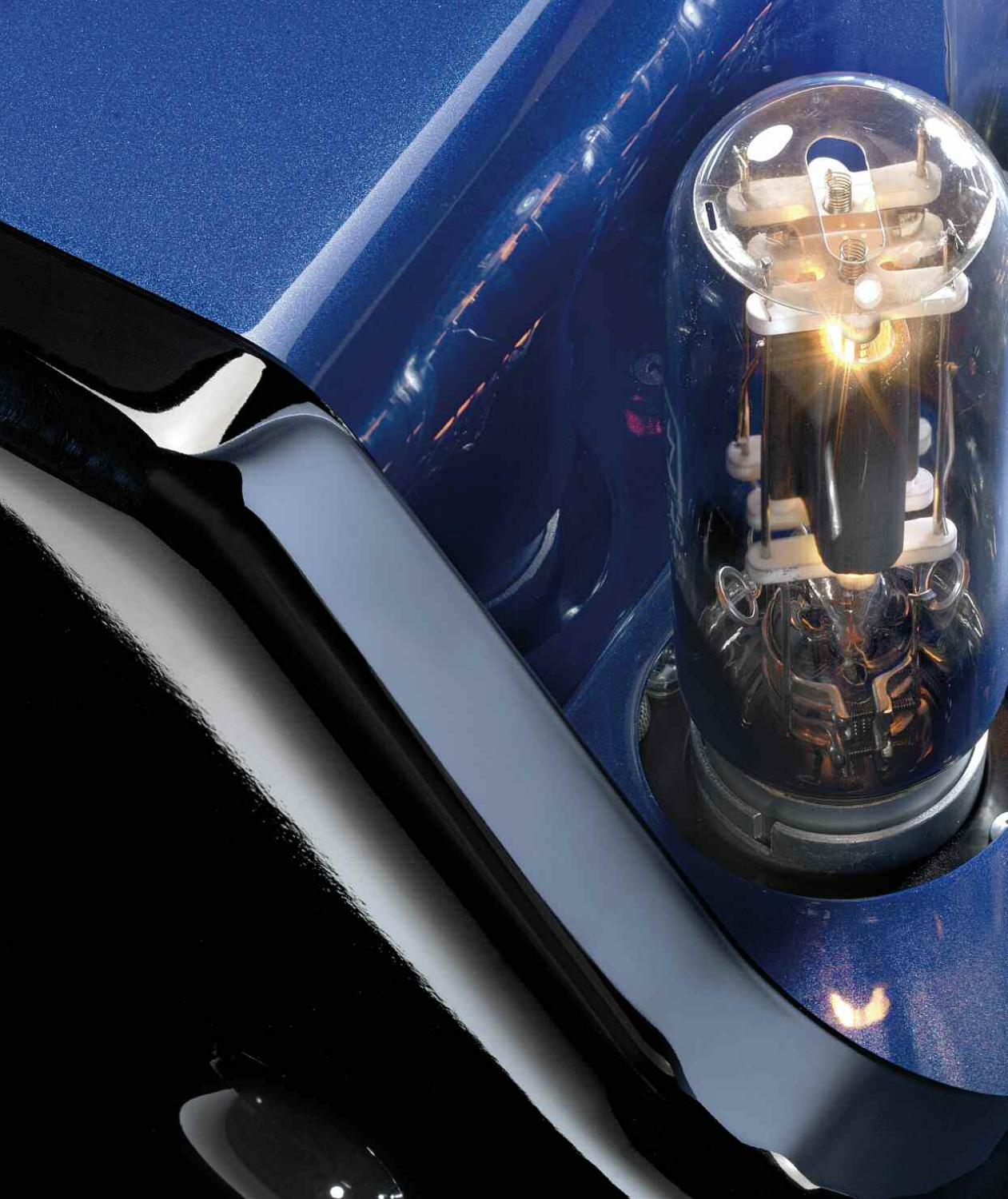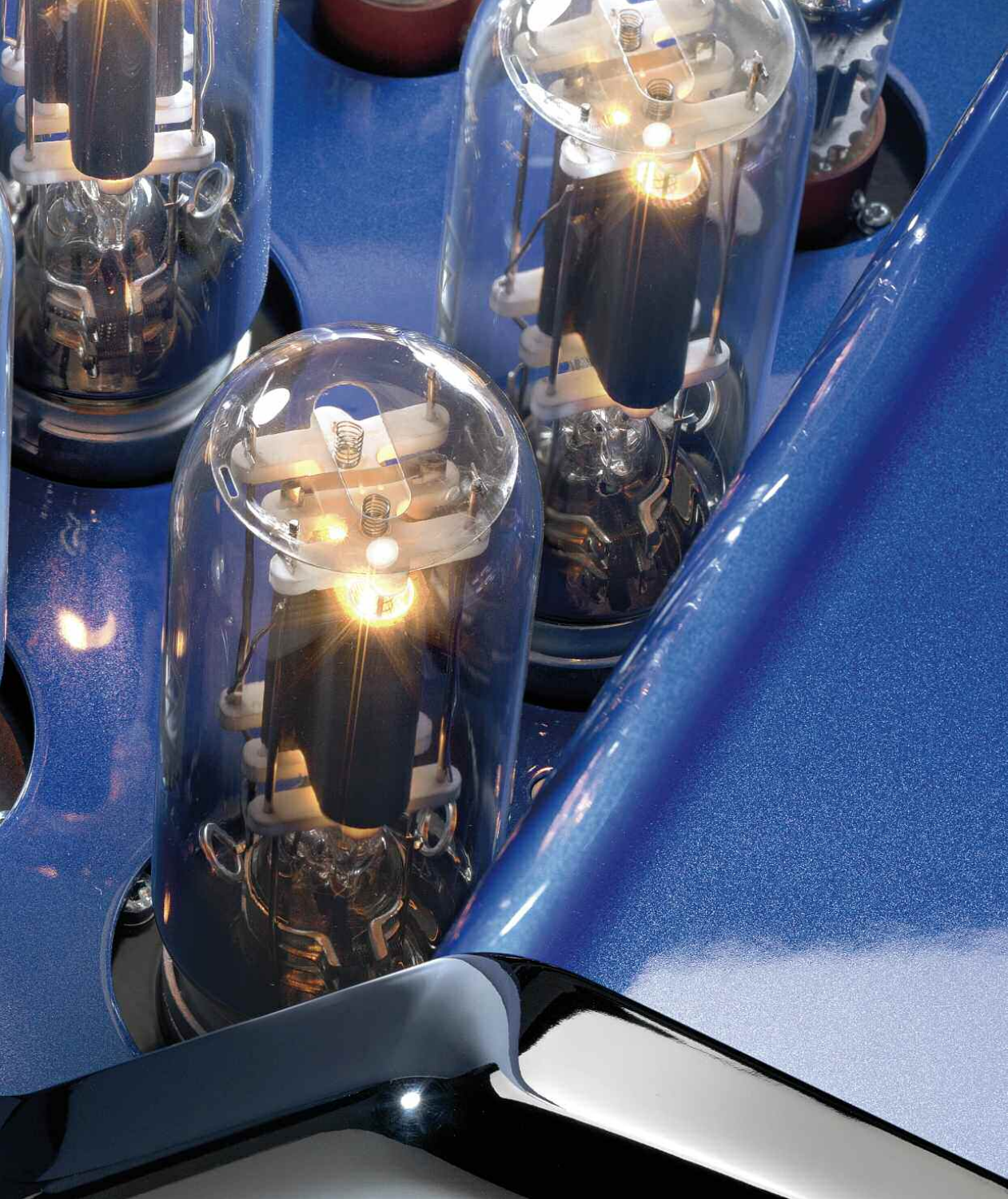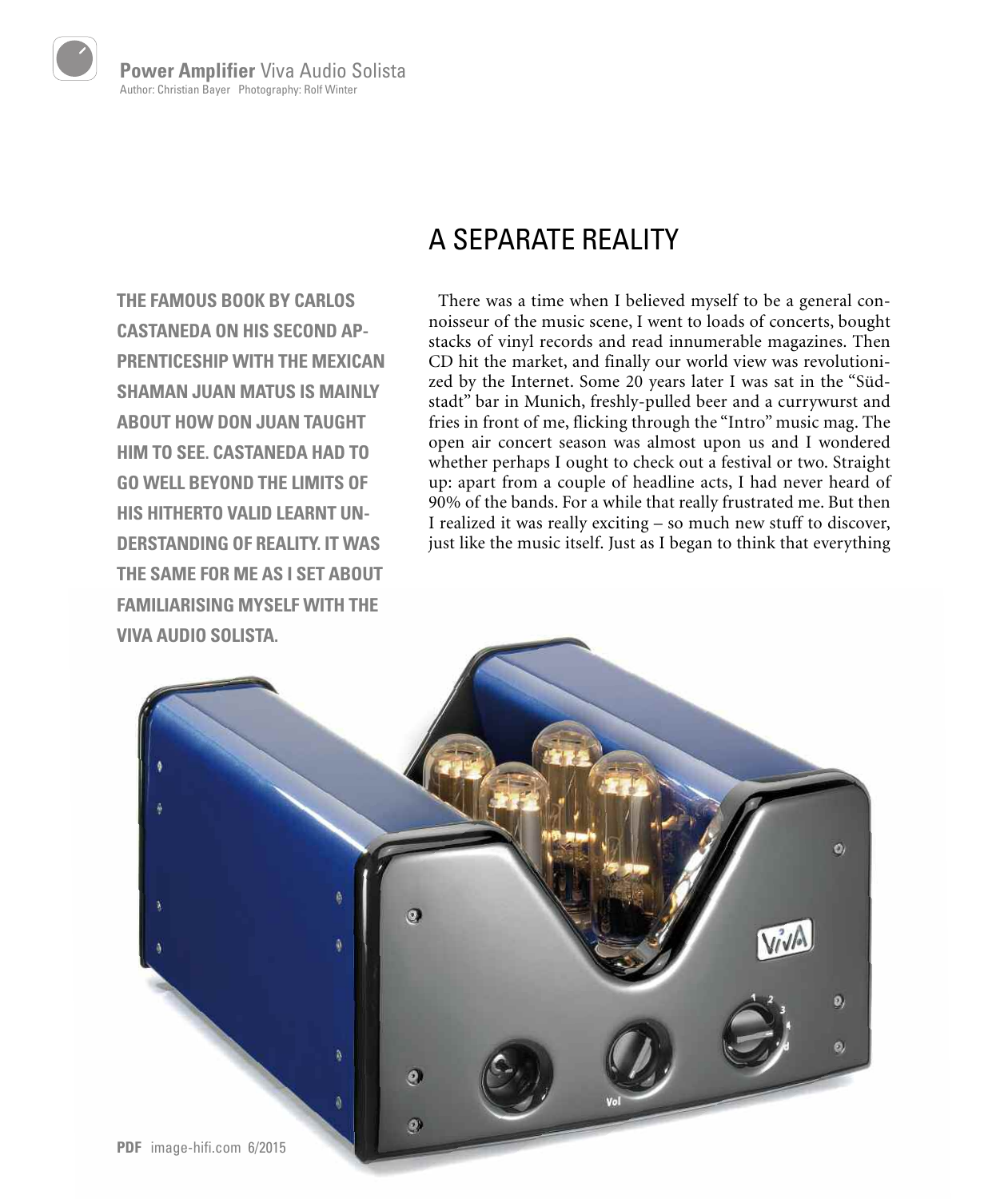**THE FAMOUS BOOK BY CARLOS CASTANEDA ON HIS SECOND AP-PRENTICESHIP WITH THE MEXICAN SHAMAN JUAN MATUS IS MAINLY ABOUT HOW DON JUAN TAUGHT HIM TO SEE. CASTANEDA HAD TO GO WELL BEYOND THE LIMITS OF HIS HITHERTO VALID LEARNT UN-DERSTANDING OF REALITY. IT WAS THE SAME FOR ME AS I SET ABOUT FAMILIARISING MYSELF WITH THE VIVA AUDIO SOLISTA.**

## A SEPARATE REALITY

There was a time when I believed myself to be a general connoisseur of the music scene, I went to loads of concerts, bought stacks of vinyl records and read innumerable magazines. Then CD hit the market, and finally our world view was revolutionized by the Internet. Some 20 years later I was sat in the "Südstadt" bar in Munich, freshly-pulled beer and a currywurst and fries in front of me, flicking through the "Intro" music mag. The open air concert season was almost upon us and I wondered whether perhaps I ought to check out a festival or two. Straight up: apart from a couple of headline acts, I had never heard of 90% of the bands. For a while that really frustrated me. But then I realized it was really exciting – so much new stuff to discover, just like the music itself. Just as I began to think that everything

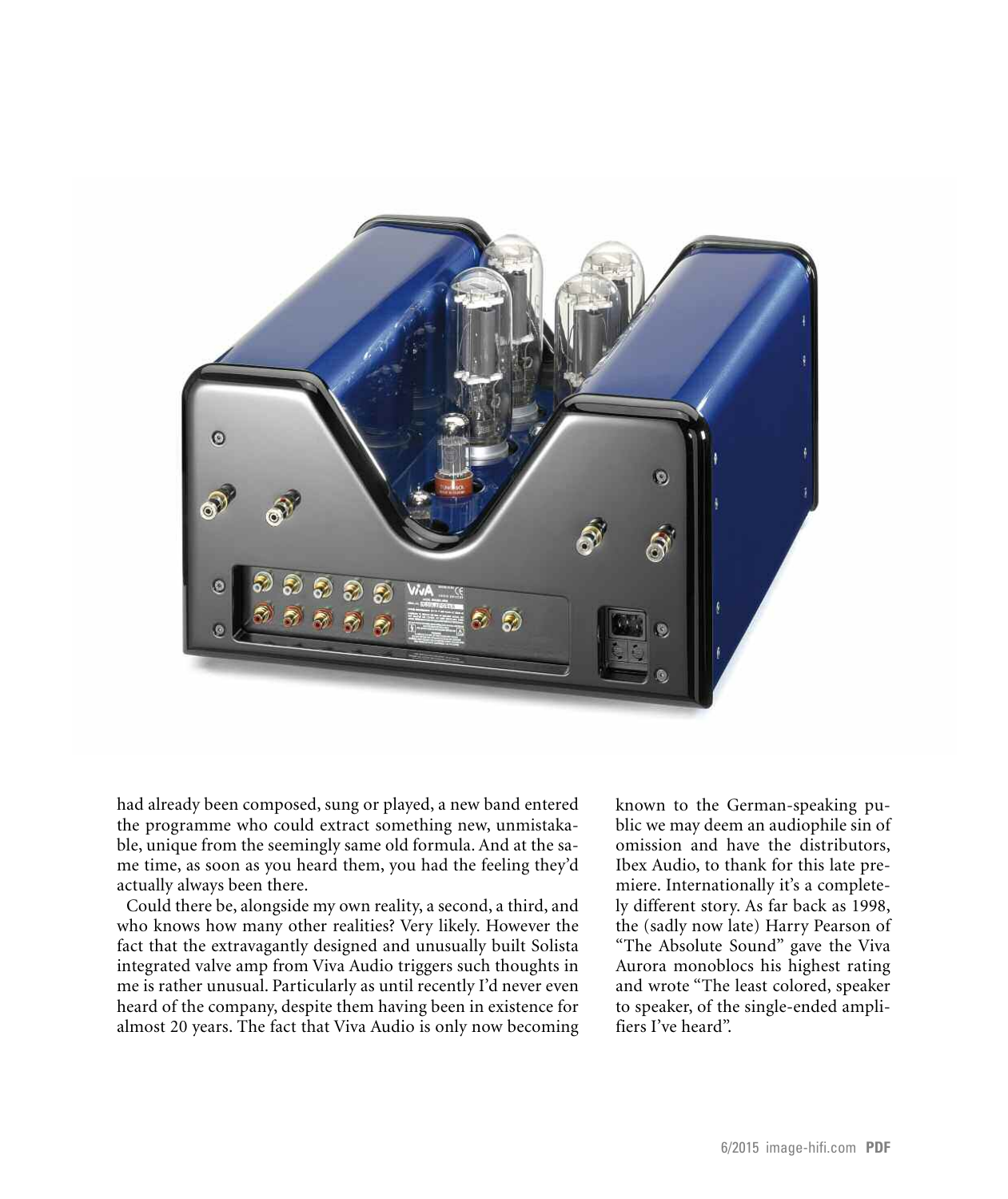

had already been composed, sung or played, a new band entered the programme who could extract something new, unmistakable, unique from the seemingly same old formula. And at the same time, as soon as you heard them, you had the feeling they'd actually always been there.

Could there be, alongside my own reality, a second, a third, and who knows how many other realities? Very likely. However the fact that the extravagantly designed and unusually built Solista integrated valve amp from Viva Audio triggers such thoughts in me is rather unusual. Particularly as until recently I'd never even heard of the company, despite them having been in existence for almost 20 years. The fact that Viva Audio is only now becoming known to the German-speaking public we may deem an audiophile sin of omission and have the distributors, Ibex Audio, to thank for this late premiere. Internationally it's a completely different story. As far back as 1998, the (sadly now late) Harry Pearson of "The Absolute Sound" gave the Viva Aurora monoblocs his highest rating and wrote "The least colored, speaker to speaker, of the single-ended amplifiers I've heard".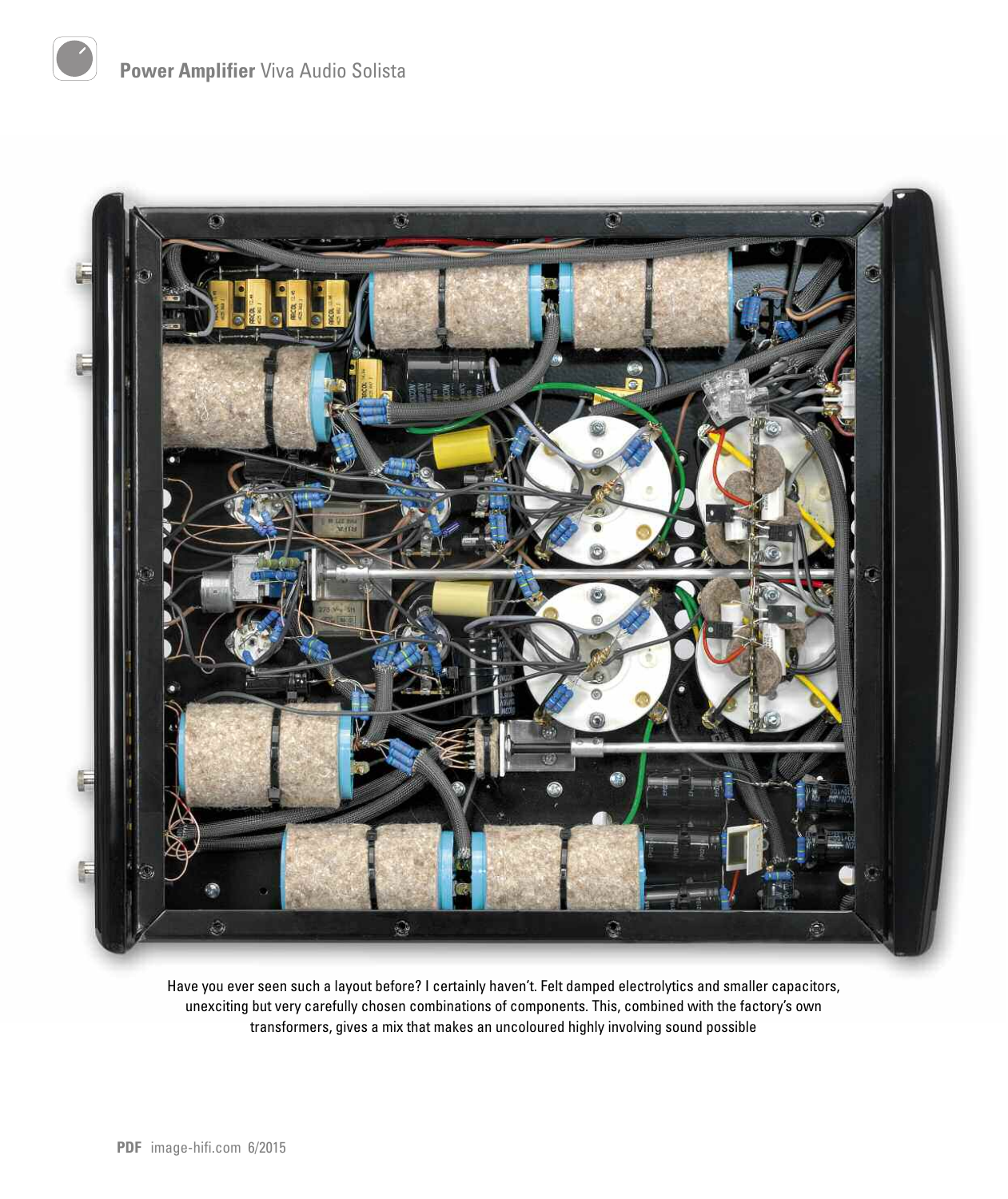



Have you ever seen such a layout before? I certainly haven't. Felt damped electrolytics and smaller capacitors, unexciting but very carefully chosen combinations of components. This, combined with the factory's own transformers, gives a mix that makes an uncoloured highly involving sound possible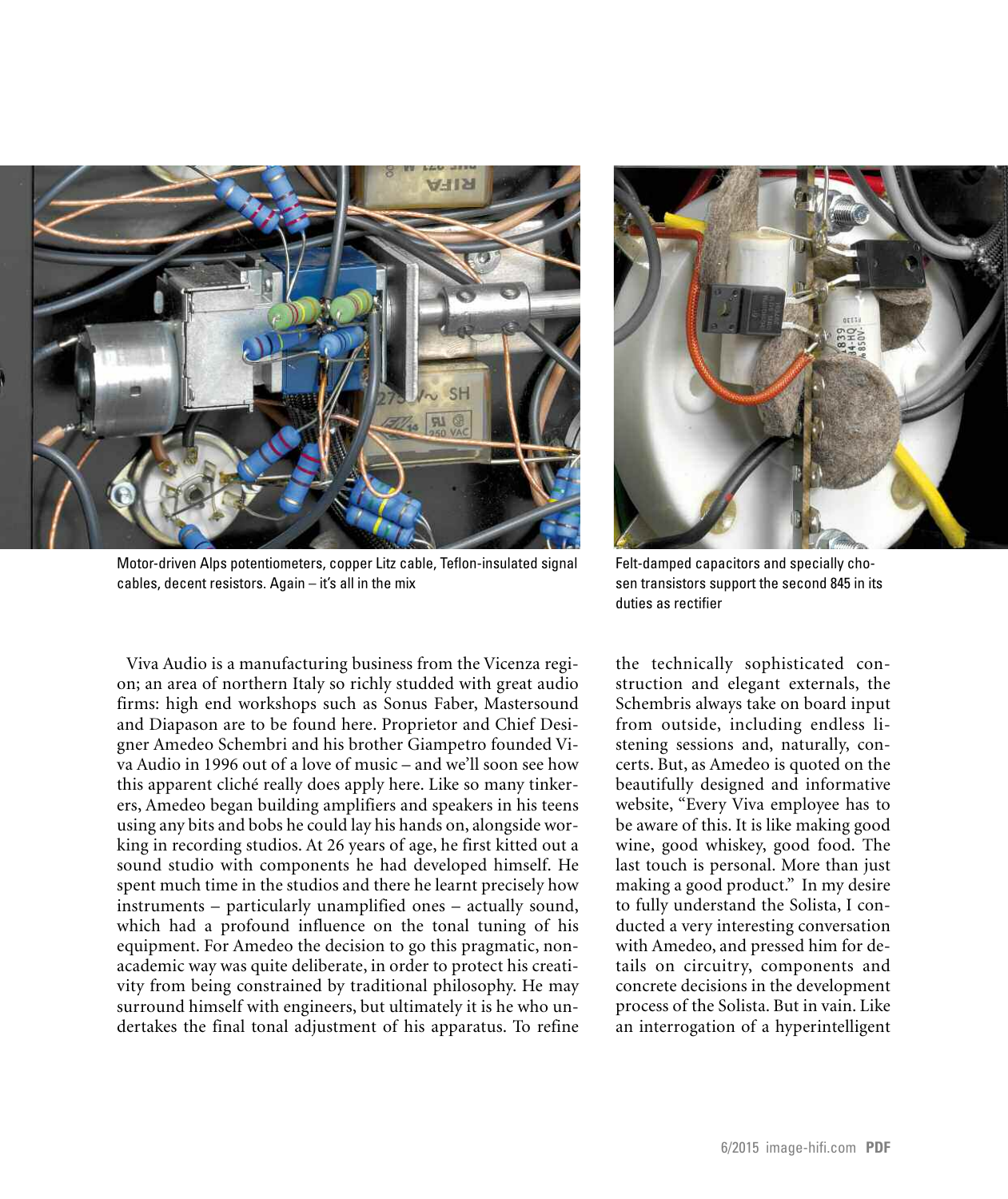

Motor-driven Alps potentiometers, copper Litz cable, Teflon-insulated signal cables, decent resistors. Again – it's all in the mix

Viva Audio is a manufacturing business from the Vicenza region; an area of northern Italy so richly studded with great audio firms: high end workshops such as Sonus Faber, Mastersound and Diapason are to be found here. Proprietor and Chief Designer Amedeo Schembri and his brother Giampetro founded Viva Audio in 1996 out of a love of music – and we'll soon see how this apparent cliché really does apply here. Like so many tinkerers, Amedeo began building amplifiers and speakers in his teens using any bits and bobs he could lay his hands on, alongside working in recording studios. At 26 years of age, he first kitted out a sound studio with components he had developed himself. He spent much time in the studios and there he learnt precisely how instruments – particularly unamplified ones – actually sound, which had a profound influence on the tonal tuning of his equipment. For Amedeo the decision to go this pragmatic, nonacademic way was quite deliberate, in order to protect his creativity from being constrained by traditional philosophy. He may surround himself with engineers, but ultimately it is he who undertakes the final tonal adjustment of his apparatus. To refine



Felt-damped capacitors and specially chosen transistors support the second 845 in its duties as rectifier

the technically sophisticated construction and elegant externals, the Schembris always take on board input from outside, including endless listening sessions and, naturally, concerts. But, as Amedeo is quoted on the beautifully designed and informative website, "Every Viva employee has to be aware of this. It is like making good wine, good whiskey, good food. The last touch is personal. More than just making a good product." In my desire to fully understand the Solista, I conducted a very interesting conversation with Amedeo, and pressed him for details on circuitry, components and concrete decisions in the development process of the Solista. But in vain. Like an interrogation of a hyperintelligent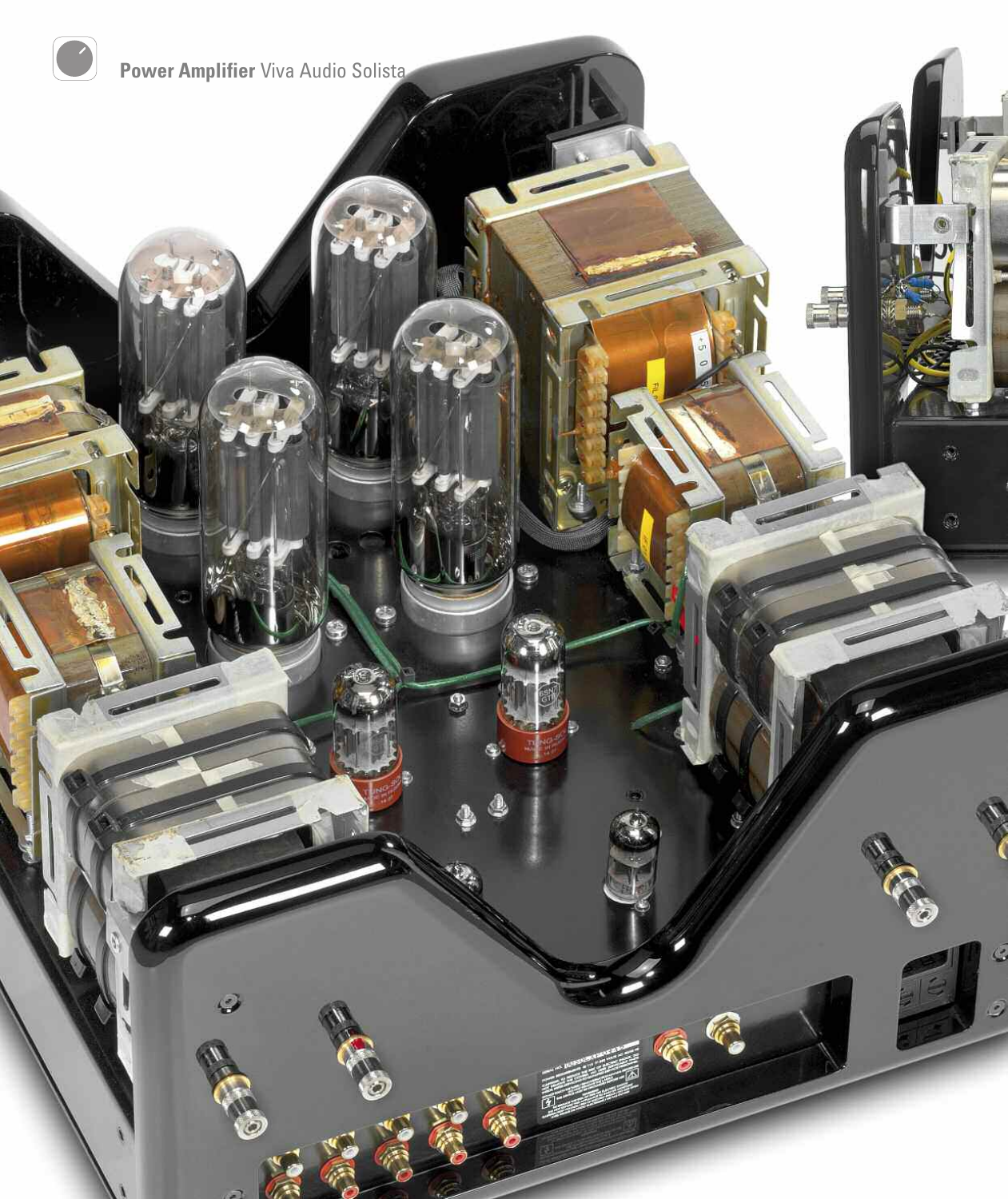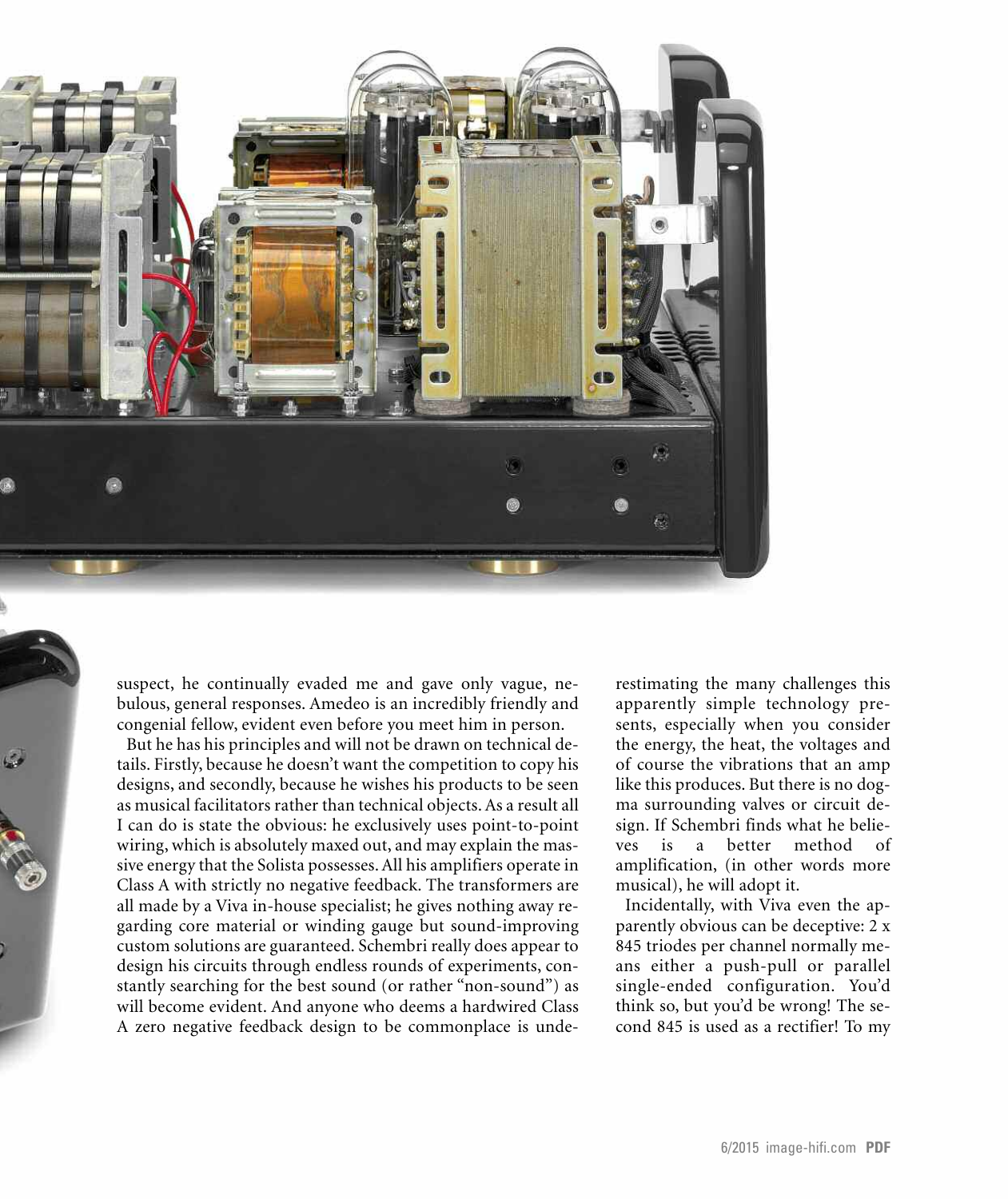

suspect, he continually evaded me and gave only vague, nebulous, general responses. Amedeo is an incredibly friendly and congenial fellow, evident even before you meet him in person.

But he has his principles and will not be drawn on technical details. Firstly, because he doesn't want the competition to copy his designs, and secondly, because he wishes his products to be seen as musical facilitators rather than technical objects.As a result all I can do is state the obvious: he exclusively uses point-to-point wiring, which is absolutely maxed out, and may explain the massive energy that the Solista possesses.All his amplifiers operate in Class A with strictly no negative feedback. The transformers are all made by a Viva in-house specialist; he gives nothing away regarding core material or winding gauge but sound-improving custom solutions are guaranteed. Schembri really does appear to design his circuits through endless rounds of experiments, constantly searching for the best sound (or rather "non-sound") as will become evident. And anyone who deems a hardwired Class A zero negative feedback design to be commonplace is underestimating the many challenges this apparently simple technology presents, especially when you consider the energy, the heat, the voltages and of course the vibrations that an amp like this produces. But there is no dogma surrounding valves or circuit design. If Schembri finds what he believes is a better method of amplification, (in other words more musical), he will adopt it.

Incidentally, with Viva even the apparently obvious can be deceptive: 2 x 845 triodes per channel normally means either a push-pull or parallel single-ended configuration. You'd think so, but you'd be wrong! The second 845 is used as a rectifier! To my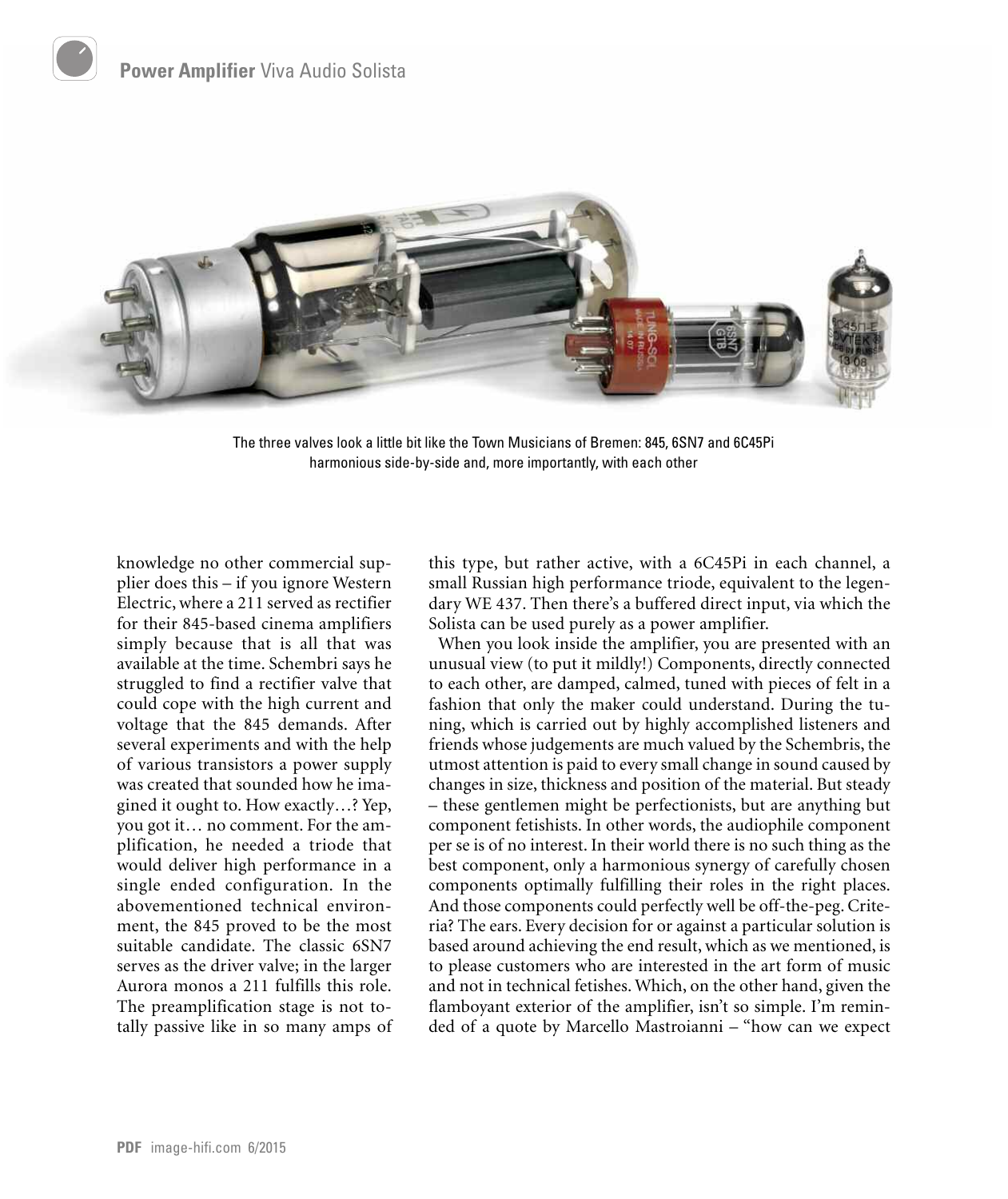

The three valves look a little bit like the Town Musicians of Bremen: 845, 6SN7 and 6C45Pi harmonious side-by-side and, more importantly, with each other

knowledge no other commercial supplier does this – if you ignore Western Electric, where a 211 served as rectifier for their 845-based cinema amplifiers simply because that is all that was available at the time. Schembri says he struggled to find a rectifier valve that could cope with the high current and voltage that the 845 demands. After several experiments and with the help of various transistors a power supply was created that sounded how he imagined it ought to. How exactly…? Yep, you got it… no comment. For the amplification, he needed a triode that would deliver high performance in a single ended configuration. In the abovementioned technical environment, the 845 proved to be the most suitable candidate. The classic 6SN7 serves as the driver valve; in the larger Aurora monos a 211 fulfills this role. The preamplification stage is not totally passive like in so many amps of this type, but rather active, with a 6C45Pi in each channel, a small Russian high performance triode, equivalent to the legendary WE 437. Then there's a buffered direct input, via which the Solista can be used purely as a power amplifier.

When you look inside the amplifier, you are presented with an unusual view (to put it mildly!) Components, directly connected to each other, are damped, calmed, tuned with pieces of felt in a fashion that only the maker could understand. During the tuning, which is carried out by highly accomplished listeners and friends whose judgements are much valued by the Schembris, the utmost attention is paid to every small change in sound caused by changes in size, thickness and position of the material. But steady – these gentlemen might be perfectionists, but are anything but component fetishists. In other words, the audiophile component per se is of no interest. In their world there is no such thing as the best component, only a harmonious synergy of carefully chosen components optimally fulfilling their roles in the right places. And those components could perfectly well be off-the-peg. Criteria? The ears. Every decision for or against a particular solution is based around achieving the end result, which as we mentioned, is to please customers who are interested in the art form of music and not in technical fetishes. Which, on the other hand, given the flamboyant exterior of the amplifier, isn't so simple. I'm reminded of a quote by Marcello Mastroianni – "how can we expect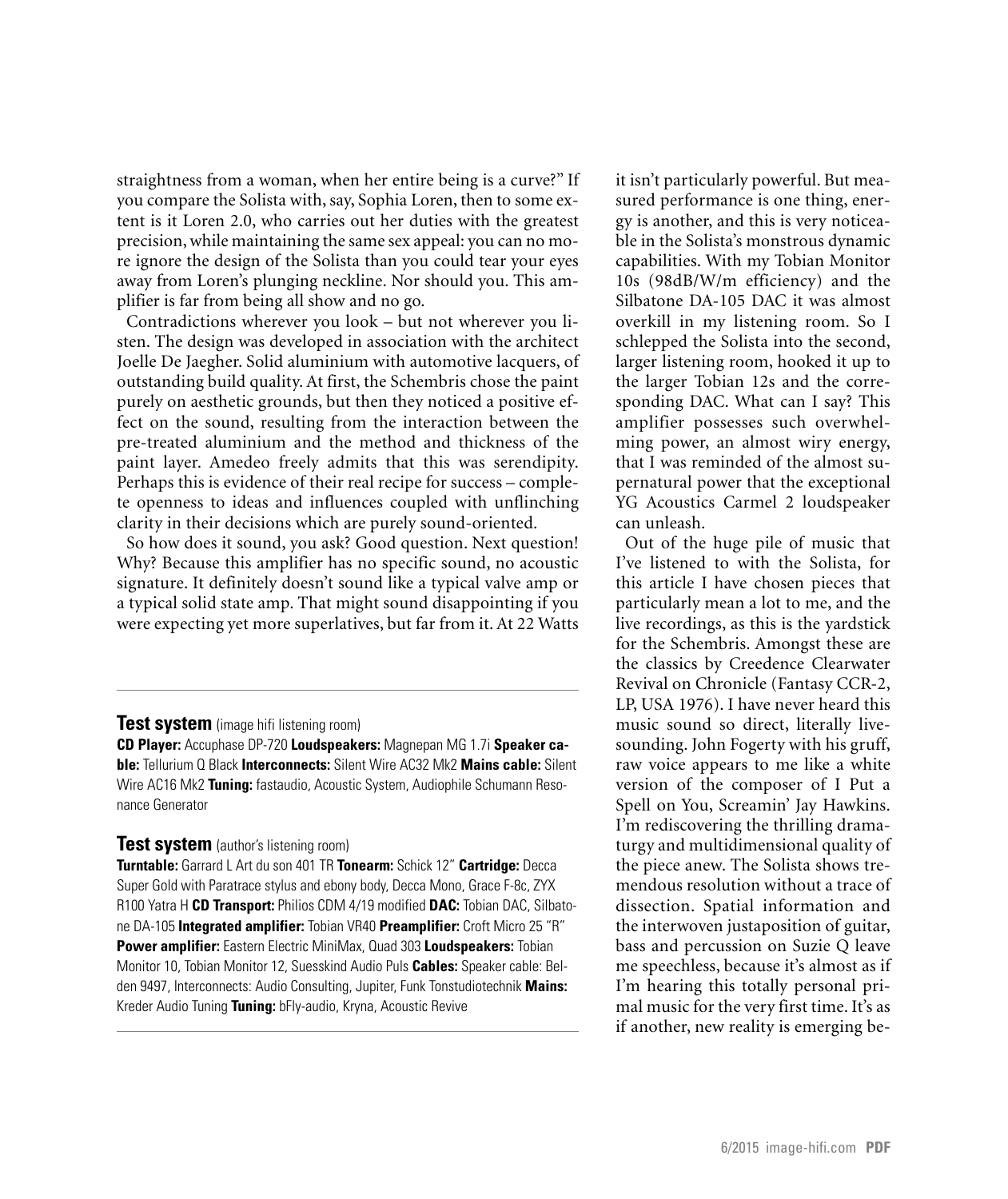straightness from a woman, when her entire being is a curve?" If you compare the Solista with, say, Sophia Loren, then to some extent is it Loren 2.0, who carries out her duties with the greatest precision,while maintaining the same sex appeal: you can no more ignore the design of the Solista than you could tear your eyes away from Loren's plunging neckline. Nor should you. This amplifier is far from being all show and no go.

Contradictions wherever you look – but not wherever you listen. The design was developed in association with the architect Joelle De Jaegher. Solid aluminium with automotive lacquers, of outstanding build quality. At first, the Schembris chose the paint purely on aesthetic grounds, but then they noticed a positive effect on the sound, resulting from the interaction between the pre-treated aluminium and the method and thickness of the paint layer. Amedeo freely admits that this was serendipity. Perhaps this is evidence of their real recipe for success – complete openness to ideas and influences coupled with unflinching clarity in their decisions which are purely sound-oriented.

So how does it sound, you ask? Good question. Next question! Why? Because this amplifier has no specific sound, no acoustic signature. It definitely doesn't sound like a typical valve amp or a typical solid state amp. That might sound disappointing if you were expecting yet more superlatives, but far from it. At 22 Watts

## **Test system** (image hifi listening room)

 $x \in \mathbb{R}^n$ 

**CD Player:** Accuphase DP-720 **Loudspeakers:** Magnepan MG 1.7i **Speaker cable:** Tellurium Q Black **Interconnects:** Silent Wire AC32 Mk2 **Mains cable:** Silent Wire AC16 Mk2 **Tuning:** fastaudio, Acoustic System, Audiophile Schumann Resonance Generator

## **Test system** (author's listening room)

**Turntable:** Garrard L Art du son 401 TR **Tonearm:** Schick 12" **Cartridge:** Decca Super Gold with Paratrace stylus and ebony body, Decca Mono, Grace F-8c, ZYX R100 Yatra H **CD Transport:** Philios CDM 4/19 modified **DAC:** Tobian DAC, Silbatone DA-105 **Integrated amplifier:** Tobian VR40 **Preamplifier:** Croft Micro 25 "R" **Power amplifier:** Eastern Electric MiniMax, Quad 303 **Loudspeakers:** Tobian Monitor 10, Tobian Monitor 12, Suesskind Audio Puls **Cables:** Speaker cable: Belden 9497, Interconnects: Audio Consulting, Jupiter, Funk Tonstudiotechnik **Mains:** Kreder Audio Tuning **Tuning:** bFly-audio, Kryna, Acoustic Revive

it isn't particularly powerful. But measured performance is one thing, energy is another, and this is very noticeable in the Solista's monstrous dynamic capabilities. With my Tobian Monitor 10s (98dB/W/m efficiency) and the Silbatone DA-105 DAC it was almost overkill in my listening room. So I schlepped the Solista into the second, larger listening room, hooked it up to the larger Tobian 12s and the corresponding DAC. What can I say? This amplifier possesses such overwhelming power, an almost wiry energy, that I was reminded of the almost supernatural power that the exceptional YG Acoustics Carmel 2 loudspeaker can unleash.

Out of the huge pile of music that I've listened to with the Solista, for this article I have chosen pieces that particularly mean a lot to me, and the live recordings, as this is the yardstick for the Schembris. Amongst these are the classics by Creedence Clearwater Revival on Chronicle (Fantasy CCR-2, LP, USA 1976). I have never heard this music sound so direct, literally livesounding. John Fogerty with his gruff, raw voice appears to me like a white version of the composer of I Put a Spell on You, Screamin' Jay Hawkins. I'm rediscovering the thrilling dramaturgy and multidimensional quality of the piece anew. The Solista shows tremendous resolution without a trace of dissection. Spatial information and the interwoven justaposition of guitar, bass and percussion on Suzie Q leave me speechless, because it's almost as if I'm hearing this totally personal primal music for the very first time. It's as if another, new reality is emerging be-